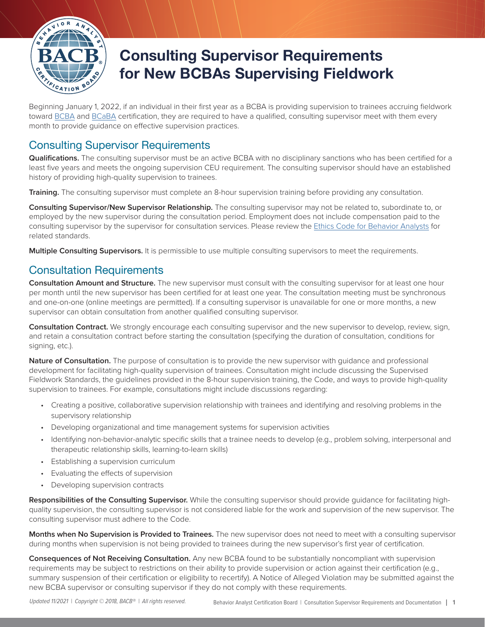

## **Consulting Supervisor Requirements for New BCBAs Supervising Fieldwork**

Beginning January 1, 2022, if an individual in their first year as a BCBA is providing supervision to trainees accruing fieldwork toward [BCBA](https://www.bacb.com/bcba-2022-eligibility-guide) and [BCaBA](https://www.bacb.com/bcaba-2022-eligibility-guide) certification, they are required to have a qualified, consulting supervisor meet with them every month to provide guidance on effective supervision practices.

## Consulting Supervisor Requirements

**Qualifications.** The consulting supervisor must be an active BCBA with no disciplinary sanctions who has been certified for a least five years and meets the ongoing supervision CEU requirement. The consulting supervisor should have an established history of providing high-quality supervision to trainees.

**Training.** The consulting supervisor must complete an 8-hour supervision training before providing any consultation.

**Consulting Supervisor/New Supervisor Relationship.** The consulting supervisor may not be related to, subordinate to, or employed by the new supervisor during the consultation period. Employment does not include compensation paid to the consulting supervisor by the supervisor for consultation services. Please review the [Ethics Code for Behavior Analysts](https://www.bacb.com/wp-content/bacb-compliance-code-future) for related standards.

**Multiple Consulting Supervisors.** It is permissible to use multiple consulting supervisors to meet the requirements.

## Consultation Requirements

**Consultation Amount and Structure.** The new supervisor must consult with the consulting supervisor for at least one hour per month until the new supervisor has been certified for at least one year. The consultation meeting must be synchronous and one-on-one (online meetings are permitted). If a consulting supervisor is unavailable for one or more months, a new supervisor can obtain consultation from another qualified consulting supervisor.

**Consultation Contract.** We strongly encourage each consulting supervisor and the new supervisor to develop, review, sign, and retain a consultation contract before starting the consultation (specifying the duration of consultation, conditions for signing, etc.).

**Nature of Consultation.** The purpose of consultation is to provide the new supervisor with guidance and professional development for facilitating high-quality supervision of trainees. Consultation might include discussing the Supervised Fieldwork Standards, the guidelines provided in the 8-hour supervision training, the Code, and ways to provide high-quality supervision to trainees. For example, consultations might include discussions regarding:

- Creating a positive, collaborative supervision relationship with trainees and identifying and resolving problems in the supervisory relationship
- Developing organizational and time management systems for supervision activities
- Identifying non-behavior-analytic specific skills that a trainee needs to develop (e.g., problem solving, interpersonal and therapeutic relationship skills, learning-to-learn skills)
- Establishing a supervision curriculum
- Evaluating the effects of supervision
- Developing supervision contracts

**Responsibilities of the Consulting Supervisor.** While the consulting supervisor should provide guidance for facilitating highquality supervision, the consulting supervisor is not considered liable for the work and supervision of the new supervisor. The consulting supervisor must adhere to the Code.

**Months when No Supervision is Provided to Trainees.** The new supervisor does not need to meet with a consulting supervisor during months when supervision is not being provided to trainees during the new supervisor's first year of certification.

**Consequences of Not Receiving Consultation.** Any new BCBA found to be substantially noncompliant with supervision requirements may be subject to restrictions on their ability to provide supervision or action against their certification (e.g., summary suspension of their certification or eligibility to recertify). A Notice of Alleged Violation may be submitted against the new BCBA supervisor or consulting supervisor if they do not comply with these requirements.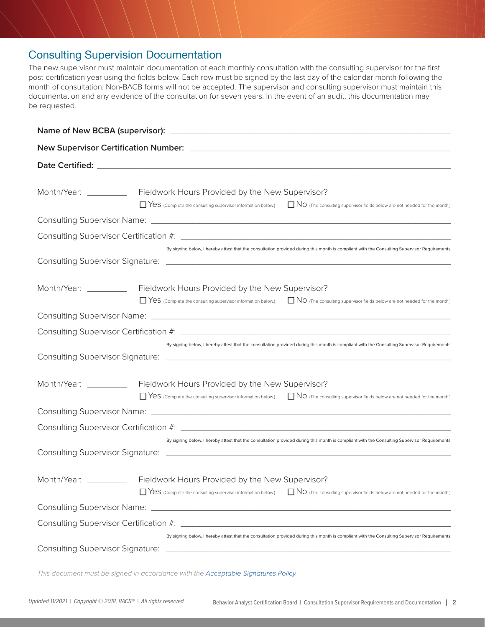## Consulting Supervision Documentation

The new supervisor must maintain documentation of each monthly consultation with the consulting supervisor for the first post-certification year using the fields below. Each row must be signed by the last day of the calendar month following the month of consultation. Non-BACB forms will not be accepted. The supervisor and consulting supervisor must maintain this documentation and any evidence of the consultation for seven years. In the event of an audit, this documentation may be requested.

|                        | Month/Year: ____________ Fieldwork Hours Provided by the New Supervisor?<br>TYES (Complete the consulting supervisor information below.) TWO (The consulting supervisor fields below are not needed for the month.) |  |
|------------------------|---------------------------------------------------------------------------------------------------------------------------------------------------------------------------------------------------------------------|--|
|                        |                                                                                                                                                                                                                     |  |
|                        |                                                                                                                                                                                                                     |  |
|                        | By signing below, I hereby attest that the consultation provided during this month is compliant with the Consulting Supervisor Requirements                                                                         |  |
|                        | Month/Year: ____________ Fieldwork Hours Provided by the New Supervisor?<br>TYES (Complete the consulting supervisor information below.) TWO (The consulting supervisor fields below are not needed for the month.) |  |
|                        |                                                                                                                                                                                                                     |  |
|                        | By signing below, I hereby attest that the consultation provided during this month is compliant with the Consulting Supervisor Requirements                                                                         |  |
|                        |                                                                                                                                                                                                                     |  |
| Month/Year: __________ | Fieldwork Hours Provided by the New Supervisor?<br>TYES (Complete the consulting supervisor information below.) TWO (The consulting supervisor fields below are not needed for the month.)                          |  |
|                        |                                                                                                                                                                                                                     |  |
|                        | By signing below, I hereby attest that the consultation provided during this month is compliant with the Consulting Supervisor Requirements                                                                         |  |
|                        |                                                                                                                                                                                                                     |  |
| Month/Year: __________ | Fieldwork Hours Provided by the New Supervisor?<br>NO (The consulting supervisor fields below are not needed for the month.)<br>Yes (Complete the consulting supervisor information below.)                         |  |
|                        |                                                                                                                                                                                                                     |  |
|                        |                                                                                                                                                                                                                     |  |
|                        | By signing below, I hereby attest that the consultation provided during this month is compliant with the Consulting Supervisor Requirements                                                                         |  |

*This document must be signed in accordance with the [Acceptable Signatures Policy](https://www.bacb.com/acceptable-signatures-policy/).*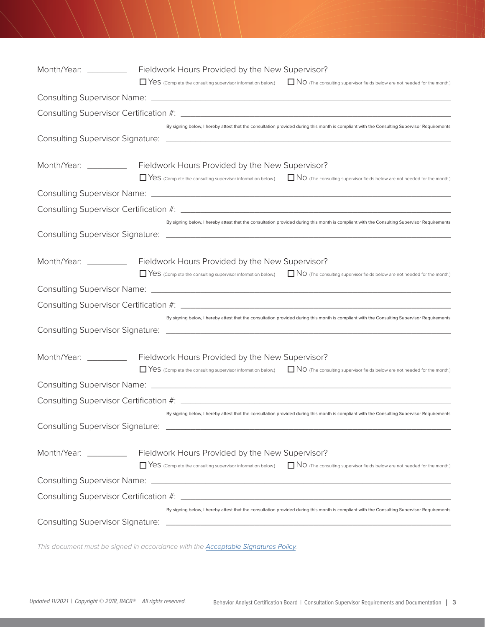| Month/Year: _________ | Fieldwork Hours Provided by the New Supervisor?<br>TYES (Complete the consulting supervisor information below.) TWO (The consulting supervisor fields below are not needed for the month.)   |
|-----------------------|----------------------------------------------------------------------------------------------------------------------------------------------------------------------------------------------|
|                       |                                                                                                                                                                                              |
|                       |                                                                                                                                                                                              |
|                       | By signing below, I hereby attest that the consultation provided during this month is compliant with the Consulting Supervisor Requirements                                                  |
| Month/Year: _________ | Fieldwork Hours Provided by the New Supervisor?<br>TYES (Complete the consulting supervisor information below.) TWO (The consulting supervisor fields below are not needed for the month.)   |
|                       |                                                                                                                                                                                              |
|                       |                                                                                                                                                                                              |
|                       | By signing below, I hereby attest that the consultation provided during this month is compliant with the Consulting Supervisor Requirements                                                  |
| Month/Year: _________ | Fieldwork Hours Provided by the New Supervisor?<br>TYES (Complete the consulting supervisor information below.) TWO (The consulting supervisor fields below are not needed for the month.)   |
|                       |                                                                                                                                                                                              |
|                       |                                                                                                                                                                                              |
|                       | By signing below, I hereby attest that the consultation provided during this month is compliant with the Consulting Supervisor Requirements                                                  |
| Month/Year: _________ | Fieldwork Hours Provided by the New Supervisor?<br>□ Yes (complete the consulting supervisor information below.) □ NO (The consulting supervisor fields below are not needed for the month.) |
|                       |                                                                                                                                                                                              |
|                       |                                                                                                                                                                                              |
|                       | By signing below, I hereby attest that the consultation provided during this month is compliant with the Consulting Supervisor Requirements                                                  |
| Month/Year: _________ | Fieldwork Hours Provided by the New Supervisor?<br>TYES (Complete the consulting supervisor information below.) TWO (The consulting supervisor fields below are not needed for the month.)   |
|                       |                                                                                                                                                                                              |
|                       |                                                                                                                                                                                              |
|                       | By signing below, I hereby attest that the consultation provided during this month is compliant with the Consulting Supervisor Requirements                                                  |

*This document must be signed in accordance with the [Acceptable Signatures Policy](https://www.bacb.com/acceptable-signatures-policy/).*